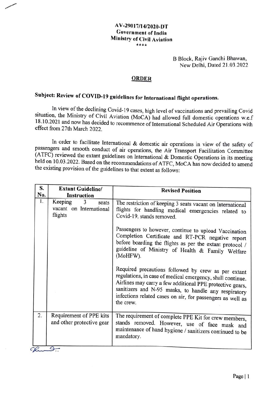## AV-29017/14/2020-DT Government of India Ministry of Civil Aviation \*\*\*\*

B Block, Rajiv Gandhi Bhawan, New Delhi, Dated 21.03.2022

## ORDER

## Subject: Review of COVID-19 guidelines for International flight operations.

In view of the declining Covid-19 cases, high level of vaccinations and prevailing Covid situation, the Ministry of Civil Aviation (MoCA) had allowed full domestic operations w.e.f 18.10.2021 and now has decided to recommence of International Scheduled Air Operations with effect from 27th March 2022.

In order to facilitate International & domestic air operations in view of the safety of passengers and smooth conduct of air operations, the Air Transport Facilitation Committee (ATFC) reviewed the extant guidelines on International & Domestic Operations in its meeting held on 10.03.2022. Based on the recommendations of ATFC, MoCA has now decided to amend<br>the existing provision of the guidelines to that extent as follows:

| <b>Extant Guideline/</b><br><b>Instruction</b>              | <b>Revised Position</b>                                                                                                                                                                                                                                                                                                                                                                                                                                                                                                                                                                                                            |
|-------------------------------------------------------------|------------------------------------------------------------------------------------------------------------------------------------------------------------------------------------------------------------------------------------------------------------------------------------------------------------------------------------------------------------------------------------------------------------------------------------------------------------------------------------------------------------------------------------------------------------------------------------------------------------------------------------|
|                                                             |                                                                                                                                                                                                                                                                                                                                                                                                                                                                                                                                                                                                                                    |
| Keeping<br>3<br>seats<br>vacant on International<br>flights | The restriction of keeping 3 seats vacant on International<br>flights for handling medical emergencies related to<br>Covid-19, stands removed.<br>Passengers to however, continue to upload Vaccination<br>Completion Certificate and RT-PCR negative report<br>before boarding the flights as per the extant protocol /<br>guideline of Ministry of Health & Family Welfare<br>(MoHFW).<br>Required precautions followed by crew as per extant<br>regulations, in case of medical emergency, shall continue.<br>Airlines may carry a few additional PPE protective gears,<br>sanitizers and N-95 masks, to handle any respiratory |
|                                                             | infections related cases on air, for passengers as well as<br>the crew.                                                                                                                                                                                                                                                                                                                                                                                                                                                                                                                                                            |
| and other protective gear                                   | The requirement of complete PPE Kit for crew members,<br>stands removed. However, use of face mask and<br>maintenance of hand hygiene / sanitizers continued to be<br>mandatory.                                                                                                                                                                                                                                                                                                                                                                                                                                                   |
|                                                             | Requirement of PPE kits<br>$\curvearrowleft$                                                                                                                                                                                                                                                                                                                                                                                                                                                                                                                                                                                       |